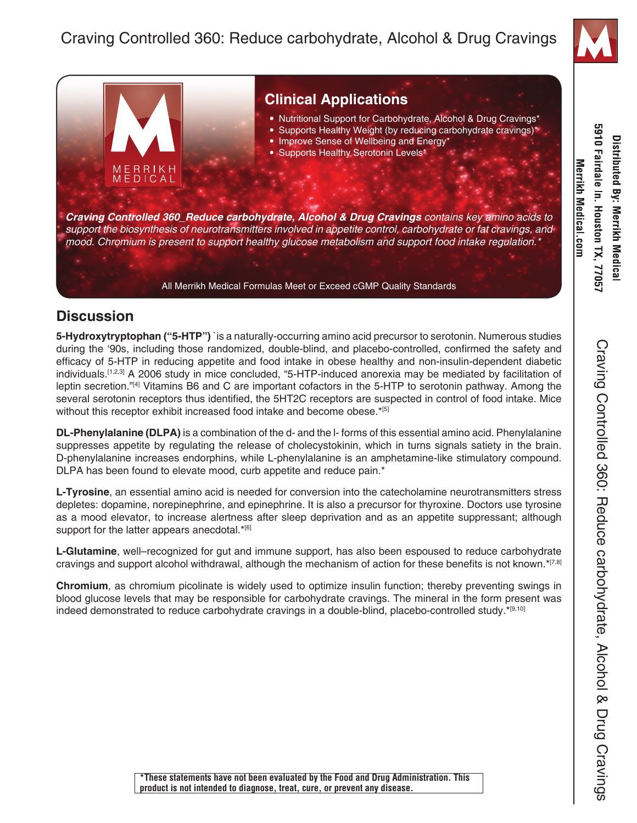

## **Clinical Applications** • Nutritional Support for Carbohydrate, Alcohol & Drug Cravings\* • Supports Healthy Weight (by reducing carbohydrate cravings)\* • Improve Sense of Wellbeing and Energy\* • Supports Healthy Serotonin Levels\* MERRIKH<br>MEDICAL *Craving Controlled 360\_Reduce carbohydrate, Alcohol & Drug Cravings contains key amino acids to support the biosynthesis of neurotransmitters involved in appetite control, carbohydrate or fat cravings, and mood. Chromium is present to support healthy glucose metabolism and support food intake regulation.\** All Merrikh Medical Formulas Meet or Exceed cGMP Quality Standards

## **Discussion**

**5-Hydroxytryptophan ("5-HTP")** `is a naturally-occurring amino acid precursor to serotonin. Numerous studies during the '90s, including those randomized, double-blind, and placebo-controlled, confirmed the safety and efficacy of 5-HTP in reducing appetite and food intake in obese healthy and non-insulin-dependent diabetic individuals.[1,2,3] A 2006 study in mice concluded, "5-HTP-induced anorexia may be mediated by facilitation of leptin secretion."[4] Vitamins B6 and C are important cofactors in the 5-HTP to serotonin pathway. Among the several serotonin receptors thus identified, the 5HT2C receptors are suspected in control of food intake. Mice without this receptor exhibit increased food intake and become obese.\*[5]

**DL-Phenylalanine (DLPA)** is a combination of the d- and the l- forms of this essential amino acid. Phenylalanine suppresses appetite by regulating the release of cholecystokinin, which in turns signals satiety in the brain. D-phenylalanine increases endorphins, while L-phenylalanine is an amphetamine-like stimulatory compound. DLPA has been found to elevate mood, curb appetite and reduce pain.<sup>\*</sup>

**L-Tyrosine**, an essential amino acid is needed for conversion into the catecholamine neurotransmitters stress depletes: dopamine, norepinephrine, and epinephrine. It is also a precursor for thyroxine. Doctors use tyrosine as a mood elevator, to increase alertness after sleep deprivation and as an appetite suppressant; although support for the latter appears anecdotal.\*[6]

**L-Glutamine**, well–recognized for gut and immune support, has also been espoused to reduce carbohydrate cravings and support alcohol withdrawal, although the mechanism of action for these benefits is not known. $*$ [7,8]

**Chromium**, as chromium picolinate is widely used to optimize insulin function; thereby preventing swings in blood glucose levels that may be responsible for carbohydrate cravings. The mineral in the form present was indeed demonstrated to reduce carbohydrate cravings in a double-blind, placebo-controlled study.\*[9,10]